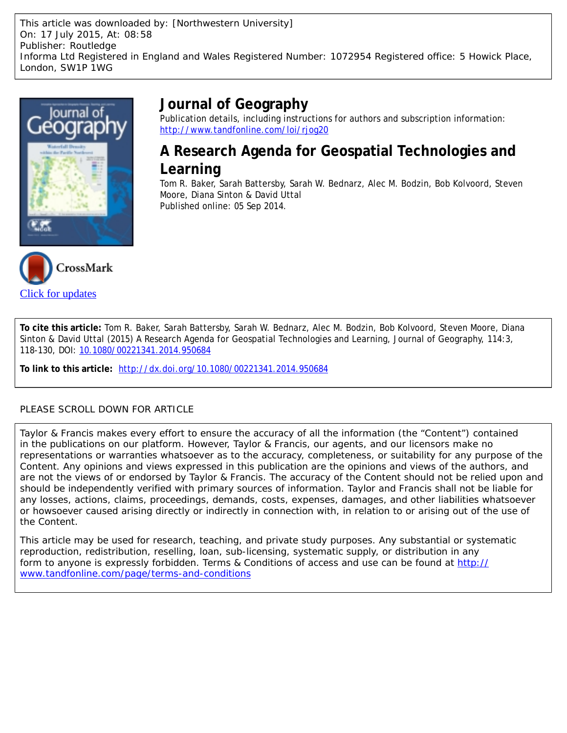This article was downloaded by: [Northwestern University] On: 17 July 2015, At: 08:58 Publisher: Routledge Informa Ltd Registered in England and Wales Registered Number: 1072954 Registered office: 5 Howick Place, London, SW1P 1WG



# **Journal of Geography**

Publication details, including instructions for authors and subscription information: <http://www.tandfonline.com/loi/rjog20>

## **A Research Agenda for Geospatial Technologies and Learning**

Tom R. Baker, Sarah Battersby, Sarah W. Bednarz, Alec M. Bodzin, Bob Kolvoord, Steven Moore, Diana Sinton & David Uttal Published online: 05 Sep 2014.



**To cite this article:** Tom R. Baker, Sarah Battersby, Sarah W. Bednarz, Alec M. Bodzin, Bob Kolvoord, Steven Moore, Diana Sinton & David Uttal (2015) A Research Agenda for Geospatial Technologies and Learning, Journal of Geography, 114:3, 118-130, DOI: [10.1080/00221341.2014.950684](http://www.tandfonline.com/action/showCitFormats?doi=10.1080/00221341.2014.950684)

**To link to this article:** <http://dx.doi.org/10.1080/00221341.2014.950684>

### PLEASE SCROLL DOWN FOR ARTICLE

Taylor & Francis makes every effort to ensure the accuracy of all the information (the "Content") contained in the publications on our platform. However, Taylor & Francis, our agents, and our licensors make no representations or warranties whatsoever as to the accuracy, completeness, or suitability for any purpose of the Content. Any opinions and views expressed in this publication are the opinions and views of the authors, and are not the views of or endorsed by Taylor & Francis. The accuracy of the Content should not be relied upon and should be independently verified with primary sources of information. Taylor and Francis shall not be liable for any losses, actions, claims, proceedings, demands, costs, expenses, damages, and other liabilities whatsoever or howsoever caused arising directly or indirectly in connection with, in relation to or arising out of the use of the Content.

This article may be used for research, teaching, and private study purposes. Any substantial or systematic reproduction, redistribution, reselling, loan, sub-licensing, systematic supply, or distribution in any form to anyone is expressly forbidden. Terms & Conditions of access and use can be found at [http://](http://www.tandfonline.com/page/terms-and-conditions) [www.tandfonline.com/page/terms-and-conditions](http://www.tandfonline.com/page/terms-and-conditions)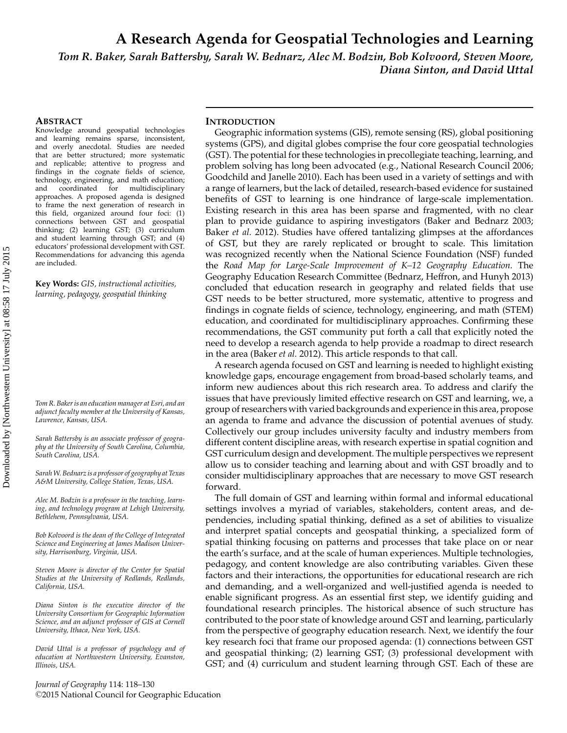### **A Research Agenda for Geospatial Technologies and Learning**

*Tom R. Baker, Sarah Battersby, Sarah W. Bednarz, Alec M. Bodzin, Bob Kolvoord, Steven Moore, Diana Sinton, and David Uttal*

#### **ABSTRACT**

Knowledge around geospatial technologies and learning remains sparse, inconsistent, and overly anecdotal. Studies are needed that are better structured; more systematic and replicable; attentive to progress and findings in the cognate fields of science, technology, engineering, and math education; and coordinated for multidisciplinary approaches. A proposed agenda is designed to frame the next generation of research in this field, organized around four foci: (1) connections between GST and geospatial thinking; (2) learning GST; (3) curriculum and student learning through GST; and (4) educators' professional development with GST. Recommendations for advancing this agenda are included.

**Key Words:** *GIS, instructional activities, learning, pedagogy, geospatial thinking*

*Sarah Battersby is an associate professor of geography at the University of South Carolina, Columbia, South Carolina, USA.*

*SarahW. Bednarz is a professor of geography at Texas A&M University, College Station, Texas, USA.*

*Alec M. Bodzin is a professor in the teaching, learning, and technology program at Lehigh University, Bethlehem, Pennsylvania, USA.*

*Bob Kolvoord is the dean of the College of Integrated Science and Engineering at James Madison University, Harrisonburg, Virginia, USA.*

*Steven Moore is director of the Center for Spatial Studies at the University of Redlands, Redlands, California, USA.*

*Diana Sinton is the executive director of the University Consortium for Geographic Information Science, and an adjunct professor of GIS at Cornell University, Ithaca, New York, USA.*

*David Uttal is a professor of psychology and of education at Northwestern University, Evanston, Illinois, USA.*

*Journal of Geography* 114: 118–130 ©2015 National Council for Geographic Education

#### **INTRODUCTION**

Geographic information systems (GIS), remote sensing (RS), global positioning systems (GPS), and digital globes comprise the four core geospatial technologies (GST). The potential for these technologies in precollegiate teaching, learning, and problem solving has long been advocated (e.g., National Research Council 2006; Goodchild and Janelle 2010). Each has been used in a variety of settings and with a range of learners, but the lack of detailed, research-based evidence for sustained benefits of GST to learning is one hindrance of large-scale implementation. Existing research in this area has been sparse and fragmented, with no clear plan to provide guidance to aspiring investigators (Baker and Bednarz 2003; Baker *et al.* 2012). Studies have offered tantalizing glimpses at the affordances of GST, but they are rarely replicated or brought to scale. This limitation was recognized recently when the National Science Foundation (NSF) funded the *Road Map for Large-Scale Improvement of K–12 Geography Education.* The Geography Education Research Committee (Bednarz, Heffron, and Hunyh 2013) concluded that education research in geography and related fields that use GST needs to be better structured, more systematic, attentive to progress and findings in cognate fields of science, technology, engineering, and math (STEM) education, and coordinated for multidisciplinary approaches. Confirming these recommendations, the GST community put forth a call that explicitly noted the need to develop a research agenda to help provide a roadmap to direct research in the area (Baker *et al.* 2012). This article responds to that call.

A research agenda focused on GST and learning is needed to highlight existing knowledge gaps, encourage engagement from broad-based scholarly teams, and inform new audiences about this rich research area. To address and clarify the issues that have previously limited effective research on GST and learning, we, a group of researchers with varied backgrounds and experience in this area, propose an agenda to frame and advance the discussion of potential avenues of study. Collectively our group includes university faculty and industry members from different content discipline areas, with research expertise in spatial cognition and GST curriculum design and development. The multiple perspectives we represent allow us to consider teaching and learning about and with GST broadly and to consider multidisciplinary approaches that are necessary to move GST research forward.

The full domain of GST and learning within formal and informal educational settings involves a myriad of variables, stakeholders, content areas, and dependencies, including spatial thinking, defined as a set of abilities to visualize and interpret spatial concepts and geospatial thinking, a specialized form of spatial thinking focusing on patterns and processes that take place on or near the earth's surface, and at the scale of human experiences. Multiple technologies, pedagogy, and content knowledge are also contributing variables. Given these factors and their interactions, the opportunities for educational research are rich and demanding, and a well-organized and well-justified agenda is needed to enable significant progress. As an essential first step, we identify guiding and foundational research principles. The historical absence of such structure has contributed to the poor state of knowledge around GST and learning, particularly from the perspective of geography education research. Next, we identify the four key research foci that frame our proposed agenda: (1) connections between GST and geospatial thinking; (2) learning GST; (3) professional development with GST; and (4) curriculum and student learning through GST. Each of these are

*Tom R. Baker is an education manager at Esri, and an adjunct faculty member at the University of Kansas, Lawrence, Kansas, USA.*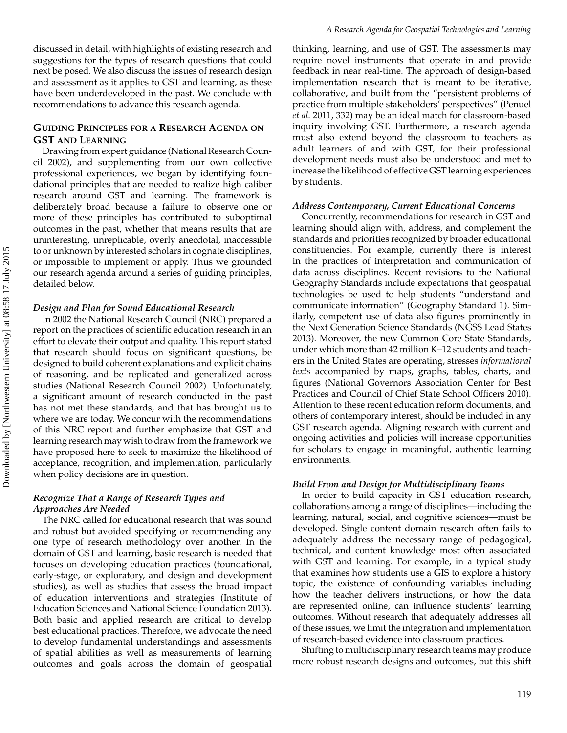discussed in detail, with highlights of existing research and suggestions for the types of research questions that could next be posed. We also discuss the issues of research design and assessment as it applies to GST and learning, as these have been underdeveloped in the past. We conclude with recommendations to advance this research agenda.

#### **GUIDING PRINCIPLES FOR A RESEARCH AGENDA ON GST AND LEARNING**

Drawing from expert guidance (National Research Council 2002), and supplementing from our own collective professional experiences, we began by identifying foundational principles that are needed to realize high caliber research around GST and learning. The framework is deliberately broad because a failure to observe one or more of these principles has contributed to suboptimal outcomes in the past, whether that means results that are uninteresting, unreplicable, overly anecdotal, inaccessible to or unknown by interested scholars in cognate disciplines, or impossible to implement or apply. Thus we grounded our research agenda around a series of guiding principles, detailed below.

#### *Design and Plan for Sound Educational Research*

In 2002 the National Research Council (NRC) prepared a report on the practices of scientific education research in an effort to elevate their output and quality. This report stated that research should focus on significant questions, be designed to build coherent explanations and explicit chains of reasoning, and be replicated and generalized across studies (National Research Council 2002). Unfortunately, a significant amount of research conducted in the past has not met these standards, and that has brought us to where we are today. We concur with the recommendations of this NRC report and further emphasize that GST and learning research may wish to draw from the framework we have proposed here to seek to maximize the likelihood of acceptance, recognition, and implementation, particularly when policy decisions are in question.

#### *Recognize That a Range of Research Types and Approaches Are Needed*

The NRC called for educational research that was sound and robust but avoided specifying or recommending any one type of research methodology over another. In the domain of GST and learning, basic research is needed that focuses on developing education practices (foundational, early-stage, or exploratory, and design and development studies), as well as studies that assess the broad impact of education interventions and strategies (Institute of Education Sciences and National Science Foundation 2013). Both basic and applied research are critical to develop best educational practices. Therefore, we advocate the need to develop fundamental understandings and assessments of spatial abilities as well as measurements of learning outcomes and goals across the domain of geospatial thinking, learning, and use of GST. The assessments may require novel instruments that operate in and provide feedback in near real-time. The approach of design-based implementation research that is meant to be iterative, collaborative, and built from the "persistent problems of practice from multiple stakeholders' perspectives" (Penuel *et al.* 2011, 332) may be an ideal match for classroom-based inquiry involving GST. Furthermore, a research agenda must also extend beyond the classroom to teachers as adult learners of and with GST, for their professional development needs must also be understood and met to increase the likelihood of effective GST learning experiences by students.

#### *Address Contemporary, Current Educational Concerns*

Concurrently, recommendations for research in GST and learning should align with, address, and complement the standards and priorities recognized by broader educational constituencies. For example, currently there is interest in the practices of interpretation and communication of data across disciplines. Recent revisions to the National Geography Standards include expectations that geospatial technologies be used to help students "understand and communicate information" (Geography Standard 1). Similarly, competent use of data also figures prominently in the Next Generation Science Standards (NGSS Lead States 2013). Moreover, the new Common Core State Standards, under which more than 42 million K–12 students and teachers in the United States are operating, stresses *informational texts* accompanied by maps, graphs, tables, charts, and figures (National Governors Association Center for Best Practices and Council of Chief State School Officers 2010). Attention to these recent education reform documents, and others of contemporary interest, should be included in any GST research agenda. Aligning research with current and ongoing activities and policies will increase opportunities for scholars to engage in meaningful, authentic learning environments.

#### *Build From and Design for Multidisciplinary Teams*

In order to build capacity in GST education research, collaborations among a range of disciplines—including the learning, natural, social, and cognitive sciences—must be developed. Single content domain research often fails to adequately address the necessary range of pedagogical, technical, and content knowledge most often associated with GST and learning. For example, in a typical study that examines how students use a GIS to explore a history topic, the existence of confounding variables including how the teacher delivers instructions, or how the data are represented online, can influence students' learning outcomes. Without research that adequately addresses all of these issues, we limit the integration and implementation of research-based evidence into classroom practices.

Shifting to multidisciplinary research teams may produce more robust research designs and outcomes, but this shift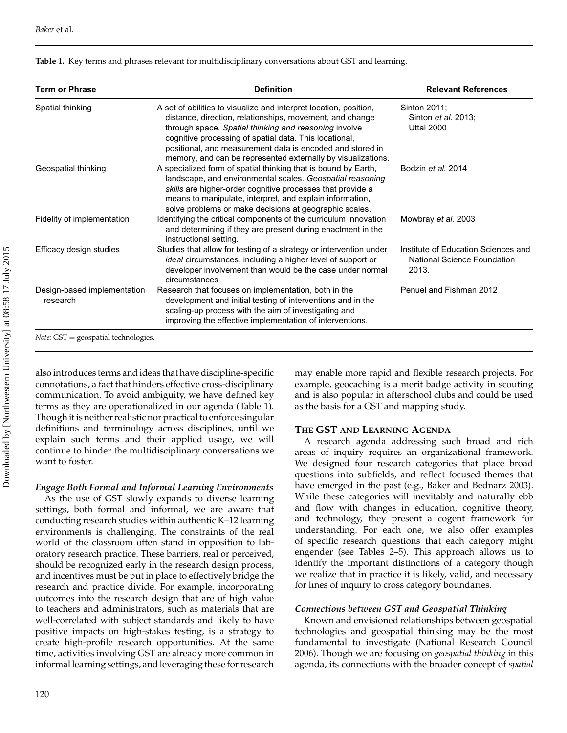| <b>Term or Phrase</b>                   | <b>Definition</b>                                                                                                                                                                                                                                                                                                                                                             | <b>Relevant References</b>                                                  |
|-----------------------------------------|-------------------------------------------------------------------------------------------------------------------------------------------------------------------------------------------------------------------------------------------------------------------------------------------------------------------------------------------------------------------------------|-----------------------------------------------------------------------------|
| Spatial thinking                        | A set of abilities to visualize and interpret location, position,<br>distance, direction, relationships, movement, and change<br>through space. Spatial thinking and reasoning involve<br>cognitive processing of spatial data. This locational,<br>positional, and measurement data is encoded and stored in<br>memory, and can be represented externally by visualizations. | Sinton 2011;<br>Sinton et al. 2013;<br><b>Uttal 2000</b>                    |
| Geospatial thinking                     | A specialized form of spatial thinking that is bound by Earth,<br>landscape, and environmental scales. Geospatial reasoning<br>skills are higher-order cognitive processes that provide a<br>means to manipulate, interpret, and explain information,<br>solve problems or make decisions at geographic scales.                                                               | Bodzin et al. 2014                                                          |
| Fidelity of implementation              | Identifying the critical components of the curriculum innovation<br>and determining if they are present during enactment in the<br>instructional setting.                                                                                                                                                                                                                     | Mowbray et al. 2003                                                         |
| Efficacy design studies                 | Studies that allow for testing of a strategy or intervention under<br><i>ideal</i> circumstances, including a higher level of support or<br>developer involvement than would be the case under normal<br>circumstances                                                                                                                                                        | Institute of Education Sciences and<br>National Science Foundation<br>2013. |
| Design-based implementation<br>research | Research that focuses on implementation, both in the<br>development and initial testing of interventions and in the<br>scaling-up process with the aim of investigating and<br>improving the effective implementation of interventions.                                                                                                                                       | Penuel and Fishman 2012                                                     |

| Table 1. Key terms and phrases relevant for multidisciplinary conversations about GST and learning. |  |
|-----------------------------------------------------------------------------------------------------|--|
|-----------------------------------------------------------------------------------------------------|--|

also introduces terms and ideas that have discipline-specific connotations, a fact that hinders effective cross-disciplinary communication. To avoid ambiguity, we have defined key terms as they are operationalized in our agenda (Table 1). Though it is neither realistic nor practical to enforce singular definitions and terminology across disciplines, until we explain such terms and their applied usage, we will continue to hinder the multidisciplinary conversations we want to foster.

#### *Engage Both Formal and Informal Learning Environments*

As the use of GST slowly expands to diverse learning settings, both formal and informal, we are aware that conducting research studies within authentic K–12 learning environments is challenging. The constraints of the real world of the classroom often stand in opposition to laboratory research practice. These barriers, real or perceived, should be recognized early in the research design process, and incentives must be put in place to effectively bridge the research and practice divide. For example, incorporating outcomes into the research design that are of high value to teachers and administrators, such as materials that are well-correlated with subject standards and likely to have positive impacts on high-stakes testing, is a strategy to create high-profile research opportunities. At the same time, activities involving GST are already more common in informal learning settings, and leveraging these for research may enable more rapid and flexible research projects. For example, geocaching is a merit badge activity in scouting and is also popular in afterschool clubs and could be used as the basis for a GST and mapping study.

#### **THE GST AND LEARNING AGENDA**

A research agenda addressing such broad and rich areas of inquiry requires an organizational framework. We designed four research categories that place broad questions into subfields, and reflect focused themes that have emerged in the past (e.g., Baker and Bednarz 2003). While these categories will inevitably and naturally ebb and flow with changes in education, cognitive theory, and technology, they present a cogent framework for understanding. For each one, we also offer examples of specific research questions that each category might engender (see Tables 2–5). This approach allows us to identify the important distinctions of a category though we realize that in practice it is likely, valid, and necessary for lines of inquiry to cross category boundaries.

#### *Connections between GST and Geospatial Thinking*

Known and envisioned relationships between geospatial technologies and geospatial thinking may be the most fundamental to investigate (National Research Council 2006). Though we are focusing on *geospatial thinking* in this agenda, its connections with the broader concept of *spatial*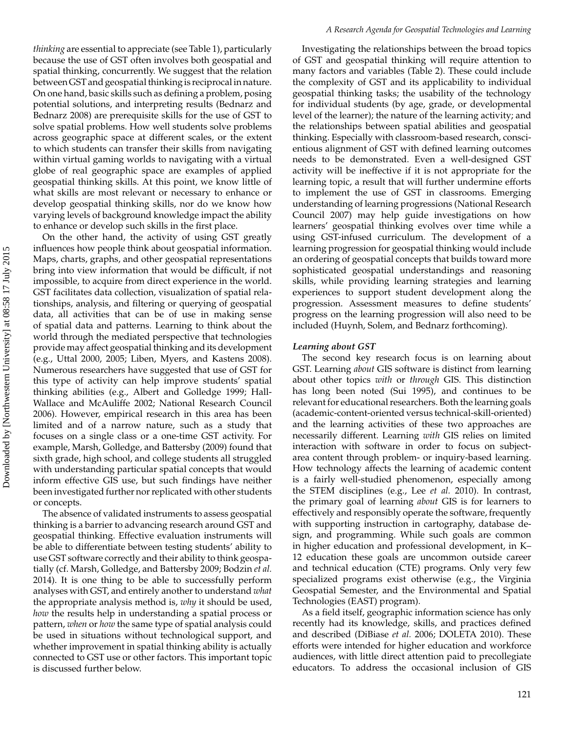*thinking* are essential to appreciate (see Table 1), particularly because the use of GST often involves both geospatial and spatial thinking, concurrently. We suggest that the relation between GST and geospatial thinking is reciprocal in nature. On one hand, basic skills such as defining a problem, posing potential solutions, and interpreting results (Bednarz and Bednarz 2008) are prerequisite skills for the use of GST to solve spatial problems. How well students solve problems across geographic space at different scales, or the extent to which students can transfer their skills from navigating within virtual gaming worlds to navigating with a virtual globe of real geographic space are examples of applied geospatial thinking skills. At this point, we know little of what skills are most relevant or necessary to enhance or develop geospatial thinking skills, nor do we know how varying levels of background knowledge impact the ability to enhance or develop such skills in the first place.

On the other hand, the activity of using GST greatly influences how people think about geospatial information. Maps, charts, graphs, and other geospatial representations bring into view information that would be difficult, if not impossible, to acquire from direct experience in the world. GST facilitates data collection, visualization of spatial relationships, analysis, and filtering or querying of geospatial data, all activities that can be of use in making sense of spatial data and patterns. Learning to think about the world through the mediated perspective that technologies provide may affect geospatial thinking and its development (e.g., Uttal 2000, 2005; Liben, Myers, and Kastens 2008). Numerous researchers have suggested that use of GST for this type of activity can help improve students' spatial thinking abilities (e.g., Albert and Golledge 1999; Hall-Wallace and McAuliffe 2002; National Research Council 2006). However, empirical research in this area has been limited and of a narrow nature, such as a study that focuses on a single class or a one-time GST activity. For example, Marsh, Golledge, and Battersby (2009) found that sixth grade, high school, and college students all struggled with understanding particular spatial concepts that would inform effective GIS use, but such findings have neither been investigated further nor replicated with other students or concepts.

The absence of validated instruments to assess geospatial thinking is a barrier to advancing research around GST and geospatial thinking. Effective evaluation instruments will be able to differentiate between testing students' ability to use GST software correctly and their ability to think geospatially (cf. Marsh, Golledge, and Battersby 2009; Bodzin *et al.* 2014). It is one thing to be able to successfully perform analyses with GST, and entirely another to understand *what* the appropriate analysis method is, *why* it should be used, *how* the results help in understanding a spatial process or pattern, *when* or *how* the same type of spatial analysis could be used in situations without technological support, and whether improvement in spatial thinking ability is actually connected to GST use or other factors. This important topic is discussed further below.

Investigating the relationships between the broad topics of GST and geospatial thinking will require attention to many factors and variables (Table 2). These could include the complexity of GST and its applicability to individual geospatial thinking tasks; the usability of the technology for individual students (by age, grade, or developmental level of the learner); the nature of the learning activity; and the relationships between spatial abilities and geospatial thinking. Especially with classroom-based research, conscientious alignment of GST with defined learning outcomes needs to be demonstrated. Even a well-designed GST activity will be ineffective if it is not appropriate for the learning topic, a result that will further undermine efforts to implement the use of GST in classrooms. Emerging understanding of learning progressions (National Research Council 2007) may help guide investigations on how learners' geospatial thinking evolves over time while a using GST-infused curriculum. The development of a learning progression for geospatial thinking would include an ordering of geospatial concepts that builds toward more sophisticated geospatial understandings and reasoning skills, while providing learning strategies and learning experiences to support student development along the progression. Assessment measures to define students' progress on the learning progression will also need to be included (Huynh, Solem, and Bednarz forthcoming).

#### *Learning about GST*

The second key research focus is on learning about GST. Learning *about* GIS software is distinct from learning about other topics *with* or *through* GIS. This distinction has long been noted (Sui 1995), and continues to be relevant for educational researchers. Both the learning goals (academic-content-oriented versus technical-skill-oriented) and the learning activities of these two approaches are necessarily different. Learning *with* GIS relies on limited interaction with software in order to focus on subjectarea content through problem- or inquiry-based learning. How technology affects the learning of academic content is a fairly well-studied phenomenon, especially among the STEM disciplines (e.g., Lee *et al.* 2010). In contrast, the primary goal of learning *about* GIS is for learners to effectively and responsibly operate the software, frequently with supporting instruction in cartography, database design, and programming. While such goals are common in higher education and professional development, in K– 12 education these goals are uncommon outside career and technical education (CTE) programs. Only very few specialized programs exist otherwise (e.g., the Virginia Geospatial Semester, and the Environmental and Spatial Technologies (EAST) program).

As a field itself, geographic information science has only recently had its knowledge, skills, and practices defined and described (DiBiase *et al.* 2006; DOLETA 2010). These efforts were intended for higher education and workforce audiences, with little direct attention paid to precollegiate educators. To address the occasional inclusion of GIS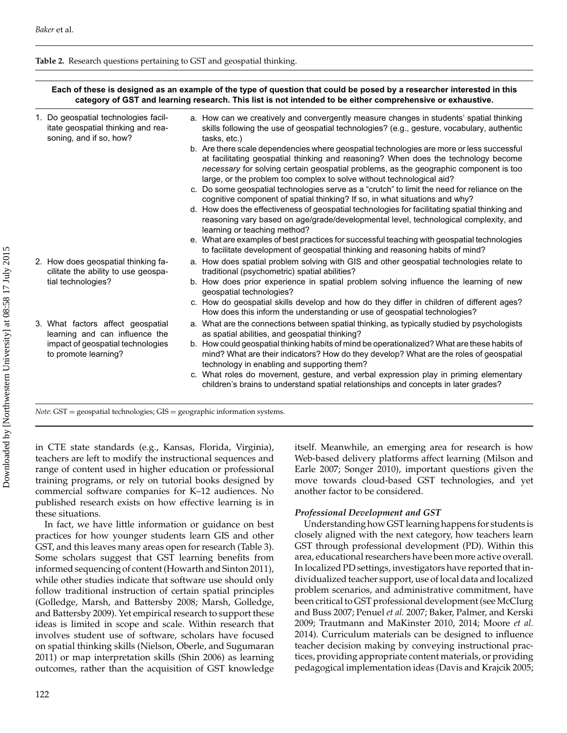#### **Table 2.** Research questions pertaining to GST and geospatial thinking.

**Each of these is designed as an example of the type of question that could be posed by a researcher interested in this category of GST and learning research. This list is not intended to be either comprehensive or exhaustive.**

| 1. Do geospatial technologies facil-<br>itate geospatial thinking and rea-<br>soning, and if so, how? | a. How can we creatively and convergently measure changes in students' spatial thinking<br>skills following the use of geospatial technologies? (e.g., gesture, vocabulary, authentic<br>tasks, etc.)                                                                                                                                                                                                                                             |
|-------------------------------------------------------------------------------------------------------|---------------------------------------------------------------------------------------------------------------------------------------------------------------------------------------------------------------------------------------------------------------------------------------------------------------------------------------------------------------------------------------------------------------------------------------------------|
|                                                                                                       | b. Are there scale dependencies where geospatial technologies are more or less successful<br>at facilitating geospatial thinking and reasoning? When does the technology become<br>necessary for solving certain geospatial problems, as the geographic component is too<br>large, or the problem too complex to solve without technological aid?<br>c. Do some geospatial technologies serve as a "crutch" to limit the need for reliance on the |
|                                                                                                       | cognitive component of spatial thinking? If so, in what situations and why?<br>d. How does the effectiveness of geospatial technologies for facilitating spatial thinking and<br>reasoning vary based on age/grade/developmental level, technological complexity, and<br>learning or teaching method?                                                                                                                                             |
|                                                                                                       | e. What are examples of best practices for successful teaching with geospatial technologies<br>to facilitate development of geospatial thinking and reasoning habits of mind?                                                                                                                                                                                                                                                                     |
| 2. How does geospatial thinking fa-<br>cilitate the ability to use geospa-                            | a. How does spatial problem solving with GIS and other geospatial technologies relate to<br>traditional (psychometric) spatial abilities?                                                                                                                                                                                                                                                                                                         |
| tial technologies?                                                                                    | b. How does prior experience in spatial problem solving influence the learning of new<br>qeospatial technologies?                                                                                                                                                                                                                                                                                                                                 |
|                                                                                                       | c. How do geospatial skills develop and how do they differ in children of different ages?<br>How does this inform the understanding or use of geospatial technologies?                                                                                                                                                                                                                                                                            |
| 3. What factors affect geospatial<br>learning and can influence the                                   | a. What are the connections between spatial thinking, as typically studied by psychologists<br>as spatial abilities, and geospatial thinking?                                                                                                                                                                                                                                                                                                     |
| impact of geospatial technologies<br>to promote learning?                                             | b. How could geospatial thinking habits of mind be operationalized? What are these habits of<br>mind? What are their indicators? How do they develop? What are the roles of geospatial<br>technology in enabling and supporting them?                                                                                                                                                                                                             |
|                                                                                                       | c. What roles do movement, gesture, and verbal expression play in priming elementary<br>children's brains to understand spatial relationships and concepts in later grades?                                                                                                                                                                                                                                                                       |
|                                                                                                       |                                                                                                                                                                                                                                                                                                                                                                                                                                                   |

*Note*: GST = geospatial technologies; GIS = geographic information systems.

in CTE state standards (e.g., Kansas, Florida, Virginia), teachers are left to modify the instructional sequences and range of content used in higher education or professional training programs, or rely on tutorial books designed by commercial software companies for K–12 audiences. No published research exists on how effective learning is in these situations.

In fact, we have little information or guidance on best practices for how younger students learn GIS and other GST, and this leaves many areas open for research (Table 3). Some scholars suggest that GST learning benefits from informed sequencing of content (Howarth and Sinton 2011), while other studies indicate that software use should only follow traditional instruction of certain spatial principles (Golledge, Marsh, and Battersby 2008; Marsh, Golledge, and Battersby 2009). Yet empirical research to support these ideas is limited in scope and scale. Within research that involves student use of software, scholars have focused on spatial thinking skills (Nielson, Oberle, and Sugumaran 2011) or map interpretation skills (Shin 2006) as learning outcomes, rather than the acquisition of GST knowledge itself. Meanwhile, an emerging area for research is how Web-based delivery platforms affect learning (Milson and Earle 2007; Songer 2010), important questions given the move towards cloud-based GST technologies, and yet another factor to be considered.

#### *Professional Development and GST*

Understanding how GST learning happens for students is closely aligned with the next category, how teachers learn GST through professional development (PD). Within this area, educational researchers have been more active overall. In localized PD settings, investigators have reported that individualized teacher support, use of local data and localized problem scenarios, and administrative commitment, have been critical to GST professional development (see McClurg and Buss 2007; Penuel *et al.* 2007; Baker, Palmer, and Kerski 2009; Trautmann and MaKinster 2010, 2014; Moore *et al.* 2014). Curriculum materials can be designed to influence teacher decision making by conveying instructional practices, providing appropriate content materials, or providing pedagogical implementation ideas (Davis and Krajcik 2005;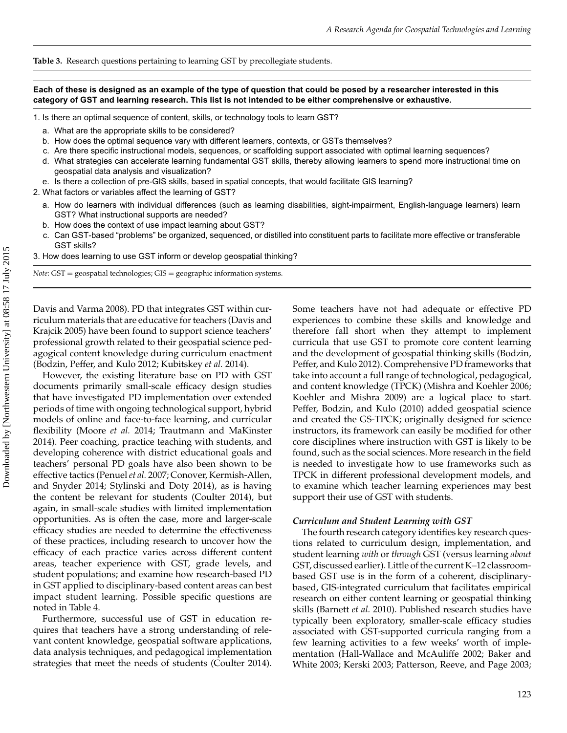**Table 3.** Research questions pertaining to learning GST by precollegiate students.

**Each of these is designed as an example of the type of question that could be posed by a researcher interested in this category of GST and learning research. This list is not intended to be either comprehensive or exhaustive.**

- 1. Is there an optimal sequence of content, skills, or technology tools to learn GST?
	- a. What are the appropriate skills to be considered?
	- b. How does the optimal sequence vary with different learners, contexts, or GSTs themselves?
	- c. Are there specific instructional models, sequences, or scaffolding support associated with optimal learning sequences?
	- What strategies can accelerate learning fundamental GST skills, thereby allowing learners to spend more instructional time on geospatial data analysis and visualization?
- e. Is there a collection of pre-GIS skills, based in spatial concepts, that would facilitate GIS learning?
- 2. What factors or variables affect the learning of GST?
	- a. How do learners with individual differences (such as learning disabilities, sight-impairment, English-language learners) learn GST? What instructional supports are needed?
	- b. How does the context of use impact learning about GST?
	- c. Can GST-based "problems" be organized, sequenced, or distilled into constituent parts to facilitate more effective or transferable GST skills?
- 3. How does learning to use GST inform or develop geospatial thinking?
- *Note*: GST = geospatial technologies; GIS = geographic information systems.

Davis and Varma 2008). PD that integrates GST within curriculum materials that are educative for teachers (Davis and Krajcik 2005) have been found to support science teachers' professional growth related to their geospatial science pedagogical content knowledge during curriculum enactment (Bodzin, Peffer, and Kulo 2012; Kubitskey *et al.* 2014).

However, the existing literature base on PD with GST documents primarily small-scale efficacy design studies that have investigated PD implementation over extended periods of time with ongoing technological support, hybrid models of online and face-to-face learning, and curricular flexibility (Moore *et al.* 2014; Trautmann and MaKinster 2014). Peer coaching, practice teaching with students, and developing coherence with district educational goals and teachers' personal PD goals have also been shown to be effective tactics (Penuel*et al.* 2007; Conover, Kermish-Allen, and Snyder 2014; Stylinski and Doty 2014), as is having the content be relevant for students (Coulter 2014), but again, in small-scale studies with limited implementation opportunities. As is often the case, more and larger-scale efficacy studies are needed to determine the effectiveness of these practices, including research to uncover how the efficacy of each practice varies across different content areas, teacher experience with GST, grade levels, and student populations; and examine how research-based PD in GST applied to disciplinary-based content areas can best impact student learning. Possible specific questions are noted in Table 4.

Furthermore, successful use of GST in education requires that teachers have a strong understanding of relevant content knowledge, geospatial software applications, data analysis techniques, and pedagogical implementation strategies that meet the needs of students (Coulter 2014).

Some teachers have not had adequate or effective PD experiences to combine these skills and knowledge and therefore fall short when they attempt to implement curricula that use GST to promote core content learning and the development of geospatial thinking skills (Bodzin, Peffer, and Kulo 2012). Comprehensive PD frameworks that take into account a full range of technological, pedagogical, and content knowledge (TPCK) (Mishra and Koehler 2006; Koehler and Mishra 2009) are a logical place to start. Peffer, Bodzin, and Kulo (2010) added geospatial science and created the GS-TPCK; originally designed for science instructors, its framework can easily be modified for other core disciplines where instruction with GST is likely to be found, such as the social sciences. More research in the field is needed to investigate how to use frameworks such as TPCK in different professional development models, and to examine which teacher learning experiences may best support their use of GST with students.

#### *Curriculum and Student Learning with GST*

The fourth research category identifies key research questions related to curriculum design, implementation, and student learning *with* or *through* GST (versus learning *about* GST, discussed earlier). Little of the current K–12 classroombased GST use is in the form of a coherent, disciplinarybased, GIS-integrated curriculum that facilitates empirical research on either content learning or geospatial thinking skills (Barnett *et al.* 2010). Published research studies have typically been exploratory, smaller-scale efficacy studies associated with GST-supported curricula ranging from a few learning activities to a few weeks' worth of implementation (Hall-Wallace and McAuliffe 2002; Baker and White 2003; Kerski 2003; Patterson, Reeve, and Page 2003;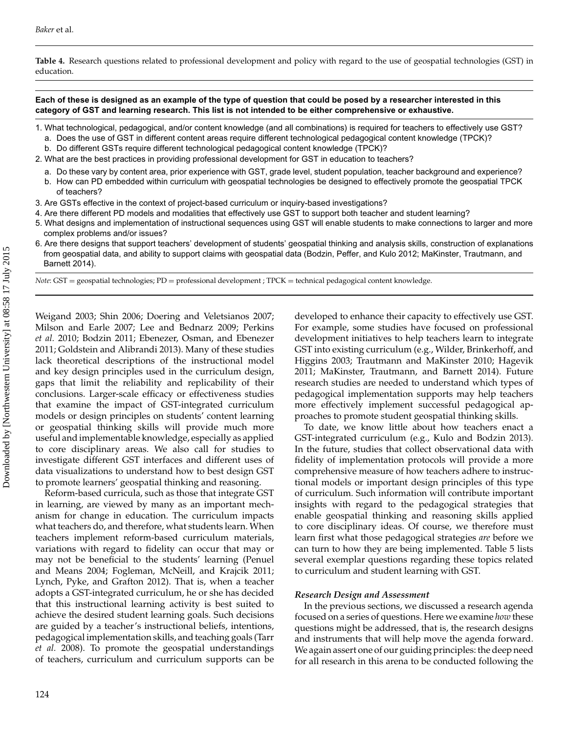**Table 4.** Research questions related to professional development and policy with regard to the use of geospatial technologies (GST) in education.

#### **Each of these is designed as an example of the type of question that could be posed by a researcher interested in this category of GST and learning research. This list is not intended to be either comprehensive or exhaustive.**

- 1. What technological, pedagogical, and/or content knowledge (and all combinations) is required for teachers to effectively use GST?
	- a. Does the use of GST in different content areas require different technological pedagogical content knowledge (TPCK)?
	- b. Do different GSTs require different technological pedagogical content knowledge (TPCK)?
- 2. What are the best practices in providing professional development for GST in education to teachers?
	- a. Do these vary by content area, prior experience with GST, grade level, student population, teacher background and experience?
	- b. How can PD embedded within curriculum with geospatial technologies be designed to effectively promote the geospatial TPCK of teachers?
- 3. Are GSTs effective in the context of project-based curriculum or inquiry-based investigations?
- 4. Are there different PD models and modalities that effectively use GST to support both teacher and student learning?
- 5. What designs and implementation of instructional sequences using GST will enable students to make connections to larger and more complex problems and/or issues?
- 6. Are there designs that support teachers' development of students' geospatial thinking and analysis skills, construction of explanations from geospatial data, and ability to support claims with geospatial data (Bodzin, Peffer, and Kulo 2012; MaKinster, Trautmann, and Barnett 2014).

*Note*: GST = geospatial technologies; PD = professional development ; TPCK = technical pedagogical content knowledge.

Weigand 2003; Shin 2006; Doering and Veletsianos 2007; Milson and Earle 2007; Lee and Bednarz 2009; Perkins *et al.* 2010; Bodzin 2011; Ebenezer, Osman, and Ebenezer 2011; Goldstein and Alibrandi 2013). Many of these studies lack theoretical descriptions of the instructional model and key design principles used in the curriculum design, gaps that limit the reliability and replicability of their conclusions. Larger-scale efficacy or effectiveness studies that examine the impact of GST-integrated curriculum models or design principles on students' content learning or geospatial thinking skills will provide much more useful and implementable knowledge, especially as applied to core disciplinary areas. We also call for studies to investigate different GST interfaces and different uses of data visualizations to understand how to best design GST to promote learners' geospatial thinking and reasoning.

Reform-based curricula, such as those that integrate GST in learning, are viewed by many as an important mechanism for change in education. The curriculum impacts what teachers do, and therefore, what students learn. When teachers implement reform-based curriculum materials, variations with regard to fidelity can occur that may or may not be beneficial to the students' learning (Penuel and Means 2004; Fogleman, McNeill, and Krajcik 2011; Lynch, Pyke, and Grafton 2012). That is, when a teacher adopts a GST-integrated curriculum, he or she has decided that this instructional learning activity is best suited to achieve the desired student learning goals. Such decisions are guided by a teacher's instructional beliefs, intentions, pedagogical implementation skills, and teaching goals (Tarr *et al.* 2008). To promote the geospatial understandings of teachers, curriculum and curriculum supports can be developed to enhance their capacity to effectively use GST. For example, some studies have focused on professional development initiatives to help teachers learn to integrate GST into existing curriculum (e.g., Wilder, Brinkerhoff, and Higgins 2003; Trautmann and MaKinster 2010; Hagevik 2011; MaKinster, Trautmann, and Barnett 2014). Future research studies are needed to understand which types of pedagogical implementation supports may help teachers more effectively implement successful pedagogical approaches to promote student geospatial thinking skills.

To date, we know little about how teachers enact a GST-integrated curriculum (e.g., Kulo and Bodzin 2013). In the future, studies that collect observational data with fidelity of implementation protocols will provide a more comprehensive measure of how teachers adhere to instructional models or important design principles of this type of curriculum. Such information will contribute important insights with regard to the pedagogical strategies that enable geospatial thinking and reasoning skills applied to core disciplinary ideas. Of course, we therefore must learn first what those pedagogical strategies *are* before we can turn to how they are being implemented. Table 5 lists several exemplar questions regarding these topics related to curriculum and student learning with GST.

#### *Research Design and Assessment*

In the previous sections, we discussed a research agenda focused on a series of questions. Here we examine *how* these questions might be addressed, that is, the research designs and instruments that will help move the agenda forward. We again assert one of our guiding principles: the deep need for all research in this arena to be conducted following the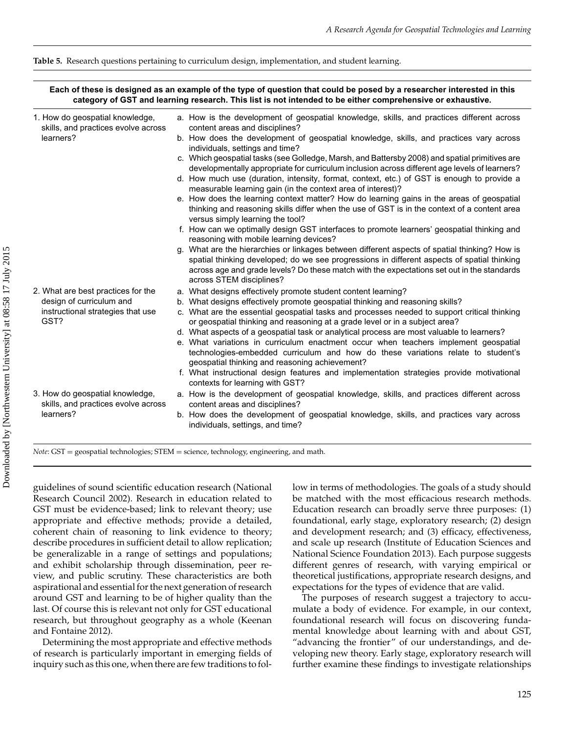#### **Table 5.** Research questions pertaining to curriculum design, implementation, and student learning.

**Each of these is designed as an example of the type of question that could be posed by a researcher interested in this category of GST and learning research. This list is not intended to be either comprehensive or exhaustive.**

| 1. How do geospatial knowledge,<br>skills, and practices evolve across<br>learners? | a. How is the development of geospatial knowledge, skills, and practices different across<br>content areas and disciplines?<br>b. How does the development of geospatial knowledge, skills, and practices vary across                                                                                                  |
|-------------------------------------------------------------------------------------|------------------------------------------------------------------------------------------------------------------------------------------------------------------------------------------------------------------------------------------------------------------------------------------------------------------------|
|                                                                                     | individuals, settings and time?<br>c. Which geospatial tasks (see Golledge, Marsh, and Battersby 2008) and spatial primitives are<br>developmentally appropriate for curriculum inclusion across different age levels of learners?                                                                                     |
|                                                                                     | d. How much use (duration, intensity, format, context, etc.) of GST is enough to provide a<br>measurable learning gain (in the context area of interest)?                                                                                                                                                              |
|                                                                                     | e. How does the learning context matter? How do learning gains in the areas of geospatial<br>thinking and reasoning skills differ when the use of GST is in the context of a content area<br>versus simply learning the tool?                                                                                          |
|                                                                                     | f. How can we optimally design GST interfaces to promote learners' geospatial thinking and<br>reasoning with mobile learning devices?                                                                                                                                                                                  |
|                                                                                     | g. What are the hierarchies or linkages between different aspects of spatial thinking? How is<br>spatial thinking developed; do we see progressions in different aspects of spatial thinking<br>across age and grade levels? Do these match with the expectations set out in the standards<br>across STEM disciplines? |
| 2. What are best practices for the                                                  | a. What designs effectively promote student content learning?                                                                                                                                                                                                                                                          |
| design of curriculum and                                                            | b. What designs effectively promote geospatial thinking and reasoning skills?                                                                                                                                                                                                                                          |
| instructional strategies that use<br>GST?                                           | c. What are the essential geospatial tasks and processes needed to support critical thinking<br>or geospatial thinking and reasoning at a grade level or in a subject area?                                                                                                                                            |
|                                                                                     | d. What aspects of a geospatial task or analytical process are most valuable to learners?                                                                                                                                                                                                                              |
|                                                                                     | e. What variations in curriculum enactment occur when teachers implement geospatial<br>technologies-embedded curriculum and how do these variations relate to student's<br>geospatial thinking and reasoning achievement?                                                                                              |
|                                                                                     | f. What instructional design features and implementation strategies provide motivational<br>contexts for learning with GST?                                                                                                                                                                                            |
| 3. How do geospatial knowledge,<br>skills, and practices evolve across              | a. How is the development of geospatial knowledge, skills, and practices different across<br>content areas and disciplines?                                                                                                                                                                                            |
| learners?                                                                           | b. How does the development of geospatial knowledge, skills, and practices vary across<br>individuals, settings, and time?                                                                                                                                                                                             |
|                                                                                     |                                                                                                                                                                                                                                                                                                                        |

*Note*: GST = geospatial technologies; STEM = science, technology, engineering, and math.

guidelines of sound scientific education research (National Research Council 2002). Research in education related to GST must be evidence-based; link to relevant theory; use appropriate and effective methods; provide a detailed, coherent chain of reasoning to link evidence to theory; describe procedures in sufficient detail to allow replication; be generalizable in a range of settings and populations; and exhibit scholarship through dissemination, peer review, and public scrutiny. These characteristics are both aspirational and essential for the next generation of research around GST and learning to be of higher quality than the last. Of course this is relevant not only for GST educational research, but throughout geography as a whole (Keenan and Fontaine 2012).

Determining the most appropriate and effective methods of research is particularly important in emerging fields of inquiry such as this one, when there are few traditions to follow in terms of methodologies. The goals of a study should be matched with the most efficacious research methods. Education research can broadly serve three purposes: (1) foundational, early stage, exploratory research; (2) design and development research; and (3) efficacy, effectiveness, and scale up research (Institute of Education Sciences and National Science Foundation 2013). Each purpose suggests different genres of research, with varying empirical or theoretical justifications, appropriate research designs, and expectations for the types of evidence that are valid.

The purposes of research suggest a trajectory to accumulate a body of evidence. For example, in our context, foundational research will focus on discovering fundamental knowledge about learning with and about GST, "advancing the frontier" of our understandings, and developing new theory. Early stage, exploratory research will further examine these findings to investigate relationships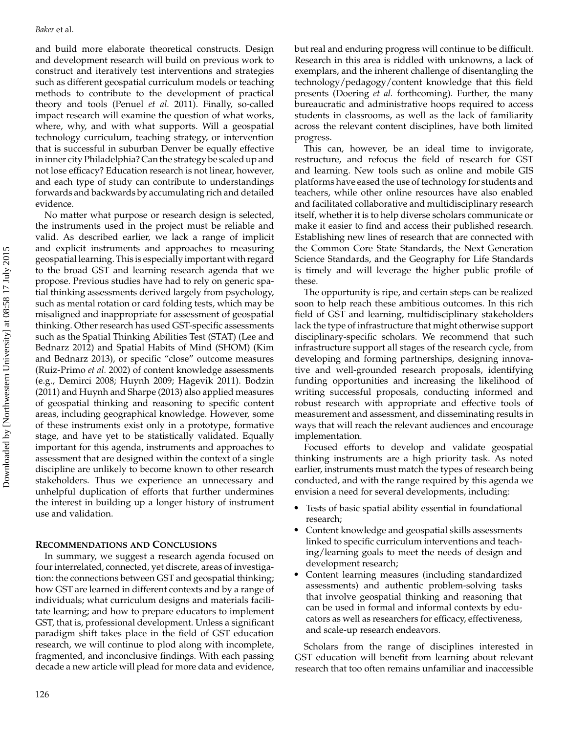and build more elaborate theoretical constructs. Design and development research will build on previous work to construct and iteratively test interventions and strategies such as different geospatial curriculum models or teaching methods to contribute to the development of practical theory and tools (Penuel *et al.* 2011). Finally, so-called impact research will examine the question of what works, where, why, and with what supports. Will a geospatial technology curriculum, teaching strategy, or intervention that is successful in suburban Denver be equally effective in inner city Philadelphia? Can the strategy be scaled up and not lose efficacy? Education research is not linear, however, and each type of study can contribute to understandings forwards and backwards by accumulating rich and detailed evidence.

No matter what purpose or research design is selected, the instruments used in the project must be reliable and valid. As described earlier, we lack a range of implicit and explicit instruments and approaches to measuring geospatial learning. This is especially important with regard to the broad GST and learning research agenda that we propose. Previous studies have had to rely on generic spatial thinking assessments derived largely from psychology, such as mental rotation or card folding tests, which may be misaligned and inappropriate for assessment of geospatial thinking. Other research has used GST-specific assessments such as the Spatial Thinking Abilities Test (STAT) (Lee and Bednarz 2012) and Spatial Habits of Mind (SHOM) (Kim and Bednarz 2013), or specific "close" outcome measures (Ruiz-Primo *et al.* 2002) of content knowledge assessments (e.g., Demirci 2008; Huynh 2009; Hagevik 2011). Bodzin (2011) and Huynh and Sharpe (2013) also applied measures of geospatial thinking and reasoning to specific content areas, including geographical knowledge. However, some of these instruments exist only in a prototype, formative stage, and have yet to be statistically validated. Equally important for this agenda, instruments and approaches to assessment that are designed within the context of a single discipline are unlikely to become known to other research stakeholders. Thus we experience an unnecessary and unhelpful duplication of efforts that further undermines the interest in building up a longer history of instrument use and validation.

#### **RECOMMENDATIONS AND CONCLUSIONS**

In summary, we suggest a research agenda focused on four interrelated, connected, yet discrete, areas of investigation: the connections between GST and geospatial thinking; how GST are learned in different contexts and by a range of individuals; what curriculum designs and materials facilitate learning; and how to prepare educators to implement GST, that is, professional development. Unless a significant paradigm shift takes place in the field of GST education research, we will continue to plod along with incomplete, fragmented, and inconclusive findings. With each passing decade a new article will plead for more data and evidence,

but real and enduring progress will continue to be difficult. Research in this area is riddled with unknowns, a lack of exemplars, and the inherent challenge of disentangling the technology/pedagogy/content knowledge that this field presents (Doering *et al.* forthcoming). Further, the many bureaucratic and administrative hoops required to access students in classrooms, as well as the lack of familiarity across the relevant content disciplines, have both limited progress.

This can, however, be an ideal time to invigorate, restructure, and refocus the field of research for GST and learning. New tools such as online and mobile GIS platforms have eased the use of technology for students and teachers, while other online resources have also enabled and facilitated collaborative and multidisciplinary research itself, whether it is to help diverse scholars communicate or make it easier to find and access their published research. Establishing new lines of research that are connected with the Common Core State Standards, the Next Generation Science Standards, and the Geography for Life Standards is timely and will leverage the higher public profile of these.

The opportunity is ripe, and certain steps can be realized soon to help reach these ambitious outcomes. In this rich field of GST and learning, multidisciplinary stakeholders lack the type of infrastructure that might otherwise support disciplinary-specific scholars. We recommend that such infrastructure support all stages of the research cycle, from developing and forming partnerships, designing innovative and well-grounded research proposals, identifying funding opportunities and increasing the likelihood of writing successful proposals, conducting informed and robust research with appropriate and effective tools of measurement and assessment, and disseminating results in ways that will reach the relevant audiences and encourage implementation.

Focused efforts to develop and validate geospatial thinking instruments are a high priority task. As noted earlier, instruments must match the types of research being conducted, and with the range required by this agenda we envision a need for several developments, including:

- Tests of basic spatial ability essential in foundational
- research; Content knowledge and geospatial skills assessments linked to specific curriculum interventions and teaching/learning goals to meet the needs of design and
- development research;<br>• Content learning measures (including standardized assessments) and authentic problem-solving tasks that involve geospatial thinking and reasoning that can be used in formal and informal contexts by educators as well as researchers for efficacy, effectiveness, and scale-up research endeavors.

Scholars from the range of disciplines interested in GST education will benefit from learning about relevant research that too often remains unfamiliar and inaccessible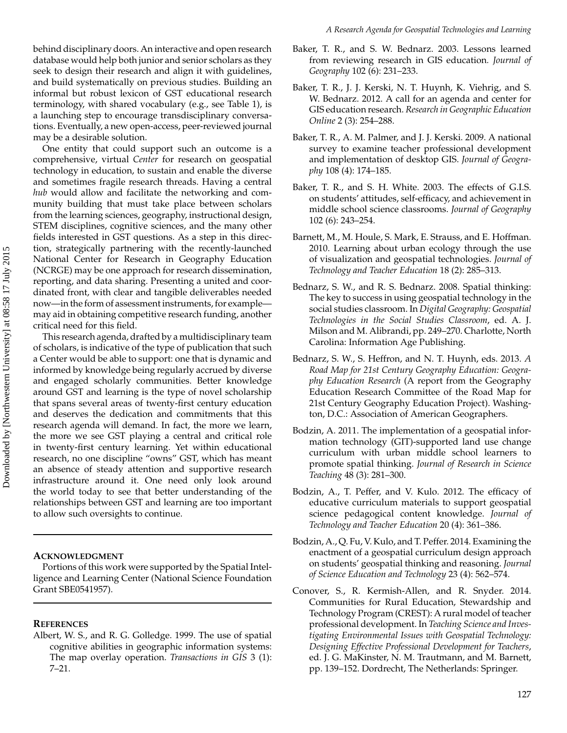behind disciplinary doors. An interactive and open research database would help both junior and senior scholars as they seek to design their research and align it with guidelines, and build systematically on previous studies. Building an informal but robust lexicon of GST educational research terminology, with shared vocabulary (e.g., see Table 1), is a launching step to encourage transdisciplinary conversations. Eventually, a new open-access, peer-reviewed journal may be a desirable solution.

One entity that could support such an outcome is a comprehensive, virtual *Center* for research on geospatial technology in education, to sustain and enable the diverse and sometimes fragile research threads. Having a central *hub* would allow and facilitate the networking and community building that must take place between scholars from the learning sciences, geography, instructional design, STEM disciplines, cognitive sciences, and the many other fields interested in GST questions. As a step in this direction, strategically partnering with the recently-launched National Center for Research in Geography Education (NCRGE) may be one approach for research dissemination, reporting, and data sharing. Presenting a united and coordinated front, with clear and tangible deliverables needed now—in the form of assessment instruments, for example may aid in obtaining competitive research funding, another critical need for this field.

This research agenda, drafted by a multidisciplinary team of scholars, is indicative of the type of publication that such a Center would be able to support: one that is dynamic and informed by knowledge being regularly accrued by diverse and engaged scholarly communities. Better knowledge around GST and learning is the type of novel scholarship that spans several areas of twenty-first century education and deserves the dedication and commitments that this research agenda will demand. In fact, the more we learn, the more we see GST playing a central and critical role in twenty-first century learning. Yet within educational research, no one discipline "owns" GST, which has meant an absence of steady attention and supportive research infrastructure around it. One need only look around the world today to see that better understanding of the relationships between GST and learning are too important to allow such oversights to continue.

#### **ACKNOWLEDGMENT**

Portions of this work were supported by the Spatial Intelligence and Learning Center (National Science Foundation Grant SBE0541957).

#### **REFERENCES**

Albert, W. S., and R. G. Golledge. 1999. The use of spatial cognitive abilities in geographic information systems: The map overlay operation. *Transactions in GIS* 3 (1): 7–21.

- Baker, T. R., and S. W. Bednarz. 2003. Lessons learned from reviewing research in GIS education*. Journal of Geography* 102 (6): 231–233.
- Baker, T. R., J. J. Kerski, N. T. Huynh, K. Viehrig, and S. W. Bednarz. 2012. A call for an agenda and center for GIS education research. *Research in Geographic Education Online* 2 (3): 254–288.
- Baker, T. R., A. M. Palmer, and J. J. Kerski. 2009. A national survey to examine teacher professional development and implementation of desktop GIS. *Journal of Geography* 108 (4): 174–185.
- Baker, T. R., and S. H. White. 2003. The effects of G.I.S. on students' attitudes, self-efficacy, and achievement in middle school science classrooms. *Journal of Geography* 102 (6): 243–254.
- Barnett, M., M. Houle, S. Mark, E. Strauss, and E. Hoffman. 2010. Learning about urban ecology through the use of visualization and geospatial technologies. *Journal of Technology and Teacher Education* 18 (2): 285–313.
- Bednarz, S. W., and R. S. Bednarz. 2008. Spatial thinking: The key to success in using geospatial technology in the social studies classroom. In *Digital Geography: Geospatial Technologies in the Social Studies Classroom*, ed. A. J. Milson and M. Alibrandi, pp. 249–270. Charlotte, North Carolina: Information Age Publishing.
- Bednarz, S. W., S. Heffron, and N. T. Huynh, eds. 2013. *A Road Map for 21st Century Geography Education: Geography Education Research* (A report from the Geography Education Research Committee of the Road Map for 21st Century Geography Education Project). Washington, D.C.: Association of American Geographers.
- Bodzin, A. 2011. The implementation of a geospatial information technology (GIT)-supported land use change curriculum with urban middle school learners to promote spatial thinking. *Journal of Research in Science Teaching* 48 (3): 281–300.
- Bodzin, A., T. Peffer, and V. Kulo. 2012. The efficacy of educative curriculum materials to support geospatial science pedagogical content knowledge. *Journal of Technology and Teacher Education* 20 (4): 361–386.
- Bodzin, A., Q. Fu, V. Kulo, and T. Peffer. 2014. Examining the enactment of a geospatial curriculum design approach on students' geospatial thinking and reasoning. *Journal of Science Education and Technology* 23 (4): 562–574.
- Conover, S., R. Kermish-Allen, and R. Snyder. 2014. Communities for Rural Education, Stewardship and Technology Program (CREST): A rural model of teacher professional development. In *Teaching Science and Investigating Environmental Issues with Geospatial Technology: Designing Effective Professional Development for Teachers*, ed. J. G. MaKinster, N. M. Trautmann, and M. Barnett, pp. 139–152. Dordrecht, The Netherlands: Springer.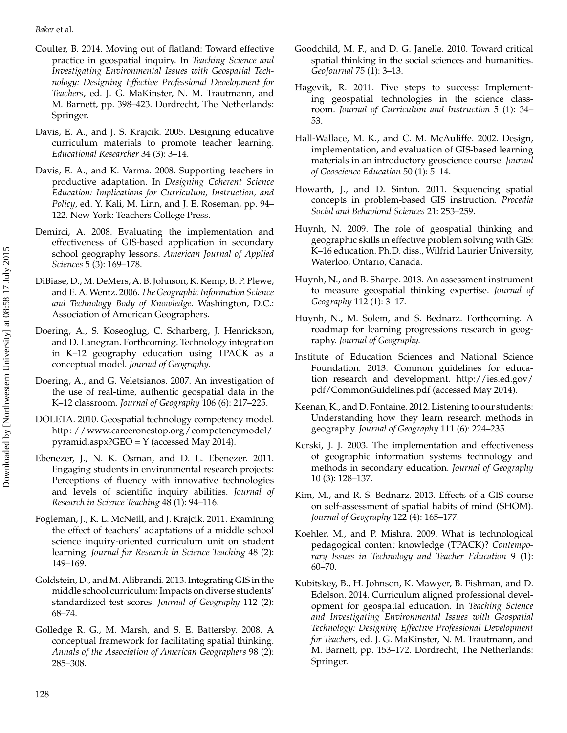*Baker* et al.

- Coulter, B. 2014. Moving out of flatland: Toward effective practice in geospatial inquiry. In *Teaching Science and Investigating Environmental Issues with Geospatial Technology: Designing Effective Professional Development for Teachers*, ed. J. G. MaKinster, N. M. Trautmann, and M. Barnett, pp. 398–423. Dordrecht, The Netherlands: Springer.
- Davis, E. A., and J. S. Krajcik. 2005. Designing educative curriculum materials to promote teacher learning. *Educational Researcher* 34 (3): 3–14.
- Davis, E. A., and K. Varma. 2008. Supporting teachers in productive adaptation. In *Designing Coherent Science Education: Implications for Curriculum, Instruction, and Policy*, ed. Y. Kali, M. Linn, and J. E. Roseman, pp. 94– 122. New York: Teachers College Press.
- Demirci, A. 2008. Evaluating the implementation and effectiveness of GIS-based application in secondary school geography lessons. *American Journal of Applied Sciences* 5 (3): 169–178.
- DiBiase, D., M. DeMers, A. B. Johnson, K. Kemp, B. P. Plewe, and E. A.Wentz. 2006. *The Geographic Information Science and Technology Body of Knowledge*. Washington, D.C.: Association of American Geographers.
- Doering, A., S. Koseoglug, C. Scharberg, J. Henrickson, and D. Lanegran. Forthcoming. Technology integration in K–12 geography education using TPACK as a conceptual model. *Journal of Geography*.
- Doering, A., and G. Veletsianos. 2007. An investigation of the use of real-time, authentic geospatial data in the K–12 classroom. *Journal of Geography* 106 (6): 217–225.
- DOLETA. 2010. Geospatial technology competency model. http: //www.careeronestop.org/competencymodel/ pyramid.aspx?GEO = Y (accessed May 2014).
- Ebenezer, J., N. K. Osman, and D. L. Ebenezer. 2011. Engaging students in environmental research projects: Perceptions of fluency with innovative technologies and levels of scientific inquiry abilities. *Journal of Research in Science Teaching* 48 (1): 94–116.
- Fogleman, J., K. L. McNeill, and J. Krajcik. 2011. Examining the effect of teachers' adaptations of a middle school science inquiry-oriented curriculum unit on student learning. *Journal for Research in Science Teaching* 48 (2): 149–169.
- Goldstein, D., and M. Alibrandi. 2013. Integrating GIS in the middle school curriculum: Impacts on diverse students' standardized test scores. *Journal of Geography* 112 (2): 68–74.
- Golledge R. G., M. Marsh, and S. E. Battersby. 2008. A conceptual framework for facilitating spatial thinking. *Annals of the Association of American Geographers* 98 (2): 285–308.
- Goodchild, M. F., and D. G. Janelle. 2010. Toward critical spatial thinking in the social sciences and humanities. *GeoJournal* 75 (1): 3–13.
- Hagevik, R. 2011. Five steps to success: Implementing geospatial technologies in the science classroom. *Journal of Curriculum and Instruction* 5 (1): 34– 53.
- Hall-Wallace, M. K., and C. M. McAuliffe. 2002. Design, implementation, and evaluation of GIS-based learning materials in an introductory geoscience course. *Journal of Geoscience Education* 50 (1): 5–14.
- Howarth, J., and D. Sinton. 2011. Sequencing spatial concepts in problem-based GIS instruction. *Procedia Social and Behavioral Sciences* 21: 253–259.
- Huynh, N. 2009. The role of geospatial thinking and geographic skills in effective problem solving with GIS: K–16 education. Ph.D. diss., Wilfrid Laurier University, Waterloo, Ontario, Canada.
- Huynh, N., and B. Sharpe. 2013. An assessment instrument to measure geospatial thinking expertise. *Journal of Geography* 112 (1): 3–17.
- Huynh, N., M. Solem, and S. Bednarz. Forthcoming. A roadmap for learning progressions research in geography. *Journal of Geography.*
- Institute of Education Sciences and National Science Foundation. 2013. Common guidelines for education research and development. http://ies.ed.gov/ pdf/CommonGuidelines.pdf (accessed May 2014).
- Keenan, K., and D. Fontaine. 2012. Listening to our students: Understanding how they learn research methods in geography. *Journal of Geography* 111 (6): 224–235.
- Kerski, J. J. 2003. The implementation and effectiveness of geographic information systems technology and methods in secondary education. *Journal of Geography* 10 (3): 128–137.
- Kim, M., and R. S. Bednarz. 2013. Effects of a GIS course on self-assessment of spatial habits of mind (SHOM). *Journal of Geography* 122 (4): 165–177.
- Koehler, M., and P. Mishra. 2009. What is technological pedagogical content knowledge (TPACK)? *Contemporary Issues in Technology and Teacher Education* 9 (1): 60–70.
- Kubitskey, B., H. Johnson, K. Mawyer, B. Fishman, and D. Edelson. 2014. Curriculum aligned professional development for geospatial education. In *Teaching Science and Investigating Environmental Issues with Geospatial Technology: Designing Effective Professional Development for Teachers*, ed. J. G. MaKinster, N. M. Trautmann, and M. Barnett, pp. 153–172. Dordrecht, The Netherlands: Springer.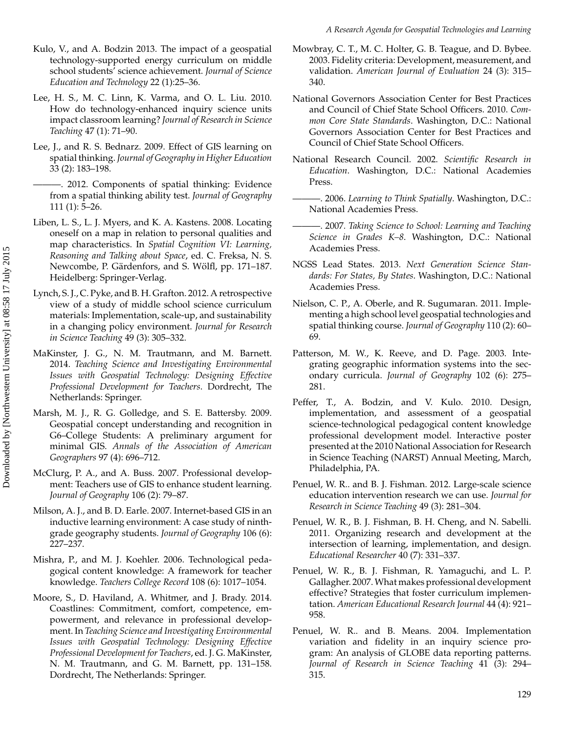- Kulo, V., and A. Bodzin 2013. The impact of a geospatial technology-supported energy curriculum on middle school students' science achievement. *Journal of Science Education and Technology* 22 (1):25–36.
- Lee, H. S., M. C. Linn, K. Varma, and O. L. Liu. 2010. How do technology-enhanced inquiry science units impact classroom learning? *Journal of Research in Science Teaching* 47 (1): 71–90.
- Lee, J., and R. S. Bednarz. 2009. Effect of GIS learning on spatial thinking. *Journal of Geography in Higher Education* 33 (2): 183–198.
	- ———. 2012. Components of spatial thinking: Evidence from a spatial thinking ability test. *Journal of Geography* 111 (1): 5–26.
- Liben, L. S., L. J. Myers, and K. A. Kastens. 2008. Locating oneself on a map in relation to personal qualities and map characteristics. In *Spatial Cognition VI: Learning, Reasoning and Talking about Space*, ed. C. Freksa, N. S. Newcombe, P. Gärdenfors, and S. Wölfl, pp. 171–187. Heidelberg: Springer-Verlag.
- Lynch, S. J., C. Pyke, and B. H. Grafton. 2012. A retrospective view of a study of middle school science curriculum materials: Implementation, scale-up, and sustainability in a changing policy environment. *Journal for Research in Science Teaching* 49 (3): 305–332.
- MaKinster, J. G., N. M. Trautmann, and M. Barnett. 2014. *Teaching Science and Investigating Environmental Issues with Geospatial Technology: Designing Effective Professional Development for Teachers*. Dordrecht, The Netherlands: Springer.
- Marsh, M. J., R. G. Golledge, and S. E. Battersby. 2009. Geospatial concept understanding and recognition in G6–College Students: A preliminary argument for minimal GIS. *Annals of the Association of American Geographers* 97 (4): 696–712.
- McClurg, P. A., and A. Buss. 2007. Professional development: Teachers use of GIS to enhance student learning. *Journal of Geography* 106 (2): 79–87.
- Milson, A. J., and B. D. Earle. 2007. Internet-based GIS in an inductive learning environment: A case study of ninthgrade geography students. *Journal of Geography* 106 (6): 227–237.
- Mishra, P., and M. J. Koehler. 2006. Technological pedagogical content knowledge: A framework for teacher knowledge. *Teachers College Record* 108 (6): 1017–1054.
- Moore, S., D. Haviland, A. Whitmer, and J. Brady. 2014. Coastlines: Commitment, comfort, competence, empowerment, and relevance in professional development. In *Teaching Science and Investigating Environmental Issues with Geospatial Technology: Designing Effective Professional Development for Teachers*, ed. J. G. MaKinster, N. M. Trautmann, and G. M. Barnett, pp. 131–158. Dordrecht, The Netherlands: Springer.
- Mowbray, C. T., M. C. Holter, G. B. Teague, and D. Bybee. 2003. Fidelity criteria: Development, measurement, and validation. *American Journal of Evaluation* 24 (3): 315– 340.
- National Governors Association Center for Best Practices and Council of Chief State School Officers. 2010. *Common Core State Standards*. Washington, D.C.: National Governors Association Center for Best Practices and Council of Chief State School Officers.
- National Research Council. 2002. *Scientific Research in Education*. Washington, D.C.: National Academies Press.
- ———. 2006. *Learning to Think Spatially*. Washington, D.C.: National Academies Press.
- ———. 2007*. Taking Science to School: Learning and Teaching Science in Grades K–8*. Washington, D.C.: National Academies Press.
- NGSS Lead States. 2013. *Next Generation Science Standards: For States, By States*. Washington, D.C.: National Academies Press.
- Nielson, C. P., A. Oberle, and R. Sugumaran. 2011. Implementing a high school level geospatial technologies and spatial thinking course. *Journal of Geography* 110 (2): 60– 69.
- Patterson, M. W., K. Reeve, and D. Page. 2003. Integrating geographic information systems into the secondary curricula. *Journal of Geography* 102 (6): 275– 281.
- Peffer, T., A. Bodzin, and V. Kulo. 2010. Design, implementation, and assessment of a geospatial science-technological pedagogical content knowledge professional development model. Interactive poster presented at the 2010 National Association for Research in Science Teaching (NARST) Annual Meeting, March, Philadelphia, PA.
- Penuel, W. R.. and B. J. Fishman. 2012. Large-scale science education intervention research we can use. *Journal for Research in Science Teaching* 49 (3): 281–304.
- Penuel, W. R., B. J. Fishman, B. H. Cheng, and N. Sabelli. 2011. Organizing research and development at the intersection of learning, implementation, and design. *Educational Researcher* 40 (7): 331–337.
- Penuel, W. R., B. J. Fishman, R. Yamaguchi, and L. P. Gallagher. 2007.What makes professional development effective? Strategies that foster curriculum implementation. *American Educational Research Journal* 44 (4): 921– 958.
- Penuel, W. R.. and B. Means. 2004. Implementation variation and fidelity in an inquiry science program: An analysis of GLOBE data reporting patterns. *Journal of Research in Science Teaching* 41 (3): 294– 315.